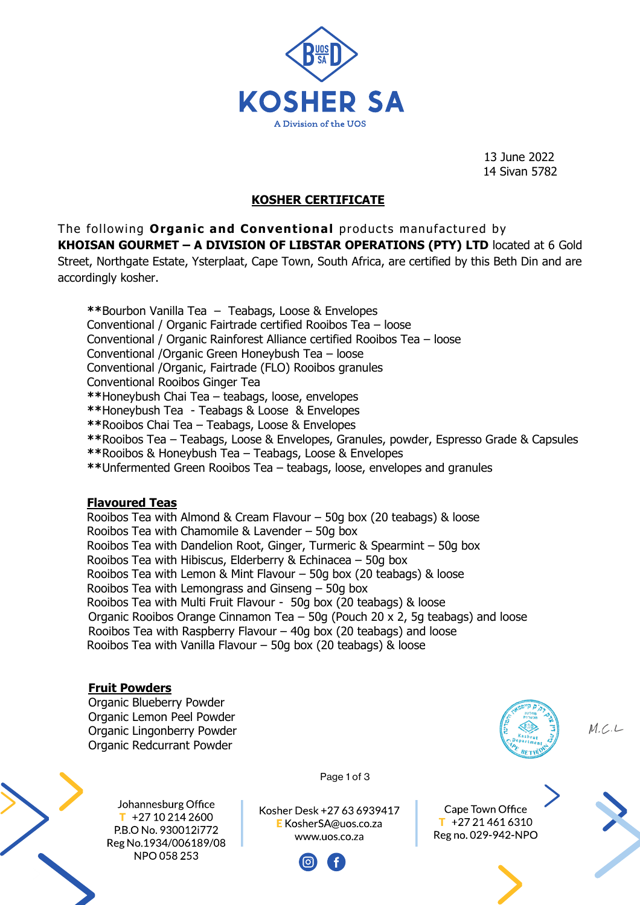

13 June 2022 14 Sivan 5782

# **KOSHER CERTIFICATE**

The following **Organic and Conventional** products manufactured by **KHOISAN GOURMET – A DIVISION OF LIBSTAR OPERATIONS (PTY) LTD** located at 6 Gold Street, Northgate Estate, Ysterplaat, Cape Town, South Africa, are certified by this Beth Din and are accordingly kosher.

**\*\***Bourbon Vanilla Tea – Teabags, Loose & Envelopes Conventional / Organic Fairtrade certified Rooibos Tea – loose Conventional / Organic Rainforest Alliance certified Rooibos Tea – loose Conventional /Organic Green Honeybush Tea – loose Conventional /Organic, Fairtrade (FLO) Rooibos granules Conventional Rooibos Ginger Tea **\*\***Honeybush Chai Tea – teabags, loose, envelopes **\*\***Honeybush Tea - Teabags & Loose & Envelopes **\*\***Rooibos Chai Tea – Teabags, Loose & Envelopes **\*\***Rooibos Tea – Teabags, Loose & Envelopes, Granules, powder, Espresso Grade & Capsules **\*\***Rooibos & Honeybush Tea – Teabags, Loose & Envelopes

**\*\***Unfermented Green Rooibos Tea – teabags, loose, envelopes and granules

### **Flavoured Teas**

Rooibos Tea with Almond & Cream Flavour – 50g box (20 teabags) & loose Rooibos Tea with Chamomile & Lavender – 50g box Rooibos Tea with Dandelion Root, Ginger, Turmeric & Spearmint – 50g box Rooibos Tea with Hibiscus, Elderberry & Echinacea – 50g box Rooibos Tea with Lemon & Mint Flavour – 50g box (20 teabags) & loose Rooibos Tea with Lemongrass and Ginseng – 50g box Rooibos Tea with Multi Fruit Flavour - 50g box (20 teabags) & loose Organic Rooibos Orange Cinnamon Tea – 50g (Pouch 20 x 2, 5g teabags) and loose Rooibos Tea with Raspberry Flavour – 40g box (20 teabags) and loose Rooibos Tea with Vanilla Flavour – 50g box (20 teabags) & loose

### **Fruit Powders**

Organic Blueberry Powder Organic Lemon Peel Powder Organic Lingonberry Powder Organic Redcurrant Powder



Cape Town Office

 $M.C.L$ 





Page 1 of 3



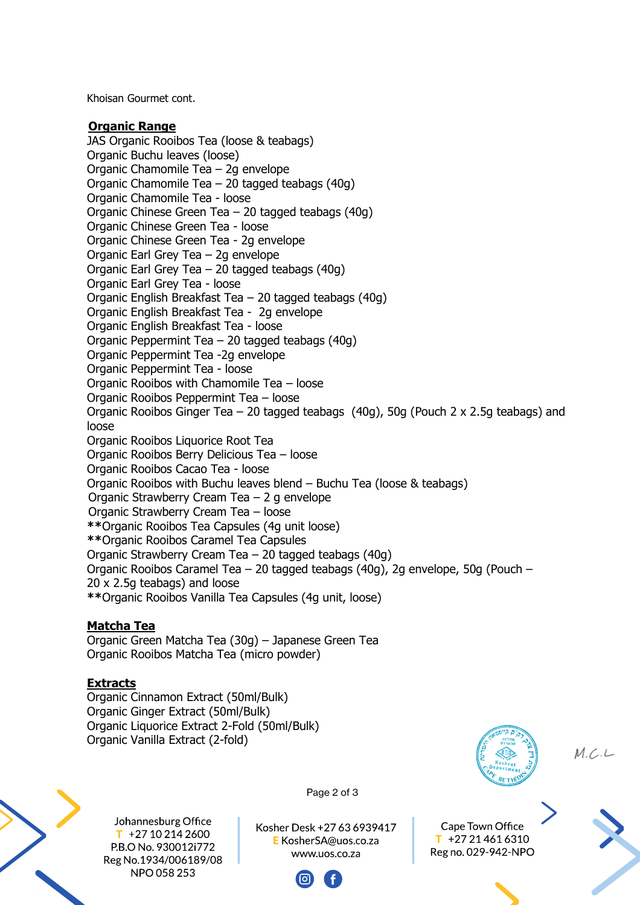Khoisan Gourmet cont.

#### **Organic Range**

JAS Organic Rooibos Tea (loose & teabags) Organic Buchu leaves (loose) Organic Chamomile Tea – 2g envelope Organic Chamomile Tea – 20 tagged teabags (40g) Organic Chamomile Tea - loose Organic Chinese Green Tea – 20 tagged teabags (40g) Organic Chinese Green Tea - loose Organic Chinese Green Tea - 2g envelope Organic Earl Grey Tea – 2g envelope Organic Earl Grey Tea – 20 tagged teabags (40g) Organic Earl Grey Tea - loose Organic English Breakfast Tea – 20 tagged teabags (40g) Organic English Breakfast Tea - 2g envelope Organic English Breakfast Tea - loose Organic Peppermint Tea – 20 tagged teabags (40g) Organic Peppermint Tea -2g envelope Organic Peppermint Tea - loose Organic Rooibos with Chamomile Tea – loose Organic Rooibos Peppermint Tea – loose Organic Rooibos Ginger Tea – 20 tagged teabags (40g), 50g (Pouch 2 x 2.5g teabags) and loose Organic Rooibos Liquorice Root Tea Organic Rooibos Berry Delicious Tea – loose Organic Rooibos Cacao Tea - loose Organic Rooibos with Buchu leaves blend – Buchu Tea (loose & teabags) Organic Strawberry Cream Tea – 2 g envelope Organic Strawberry Cream Tea – loose **\*\***Organic Rooibos Tea Capsules (4g unit loose) **\*\***Organic Rooibos Caramel Tea Capsules Organic Strawberry Cream Tea – 20 tagged teabags (40g) Organic Rooibos Caramel Tea – 20 tagged teabags (40g), 2g envelope, 50g (Pouch – 20 x 2.5g teabags) and loose **\*\***Organic Rooibos Vanilla Tea Capsules (4g unit, loose)

### **Matcha Tea**

Organic Green Matcha Tea (30g) – Japanese Green Tea Organic Rooibos Matcha Tea (micro powder)

### **Extracts**

Organic Cinnamon Extract (50ml/Bulk) Organic Ginger Extract (50ml/Bulk) Organic Liquorice Extract 2-Fold (50ml/Bulk) Organic Vanilla Extract (2-fold)



Johannesburg Office  $T$  +27 10 214 2600 P.B.O No. 930012i772 Reg No.1934/006189/08 NPO 058 253

Page 2 of 3

Kosher Desk +27 63 6939417 E KosherSA@uos.co.za www.uos.co.za